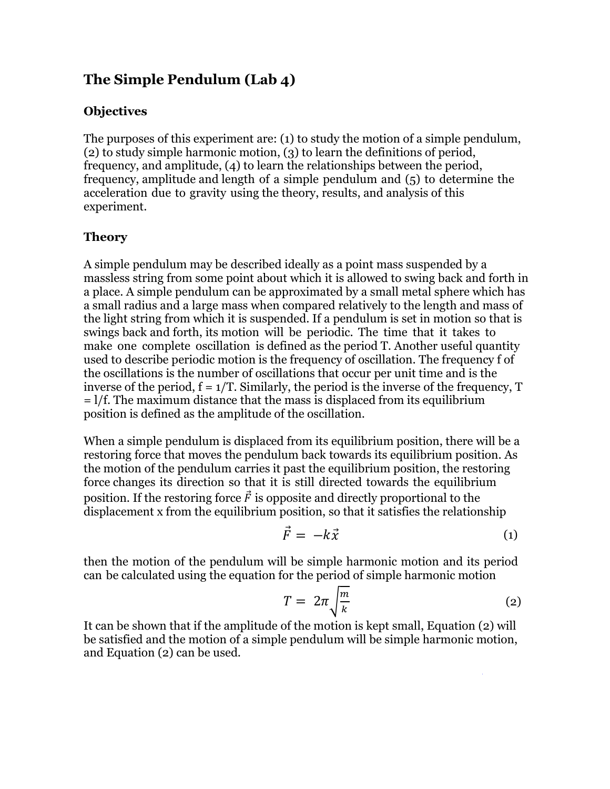# **The Simple Pendulum (Lab 4)**

#### **Objectives**

The purposes of this experiment are: (1) to study the motion of a simple pendulum, (2) to study simple harmonic motion, (3) to learn the definitions of period, frequency, and amplitude, (4) to learn the relationships between the period, frequency, amplitude and length of a simple pendulum and (5) to determine the acceleration due to gravity using the theory, results, and analysis of this experiment.

#### **Theory**

A simple pendulum may be described ideally as a point mass suspended by a massless string from some point about which it is allowed to swing back and forth in a place. A simple pendulum can be approximated by a small metal sphere which has a small radius and a large mass when compared relatively to the length and mass of the light string from which it is suspended. If a pendulum is set in motion so that is swings back and forth, its motion will be periodic. The time that it takes to make one complete oscillation is defined as the period T. Another useful quantity used to describe periodic motion is the frequency of oscillation. The frequency f of the oscillations is the number of oscillations that occur per unit time and is the inverse of the period,  $f = 1/T$ . Similarly, the period is the inverse of the frequency,  $T$ = l/f. The maximum distance that the mass is displaced from its equilibrium position is defined as the amplitude of the oscillation.

When a simple pendulum is displaced from its equilibrium position, there will be a restoring force that moves the pendulum back towards its equilibrium position. As the motion of the pendulum carries it past the equilibrium position, the restoring force changes its direction so that it is still directed towards the equilibrium position. If the restoring force  $\vec{F}$  is opposite and directly proportional to the displacement x from the equilibrium position, so that it satisfies the relationship

$$
\vec{F} = -k\vec{x} \tag{1}
$$

then the motion of the pendulum will be simple harmonic motion and its period can be calculated using the equation for the period of simple harmonic motion

$$
T = 2\pi \sqrt{\frac{m}{k}} \tag{2}
$$

It can be shown that if the amplitude of the motion is kept small, Equation (2) will be satisfied and the motion of a simple pendulum will be simple harmonic motion, and Equation (2) can be used.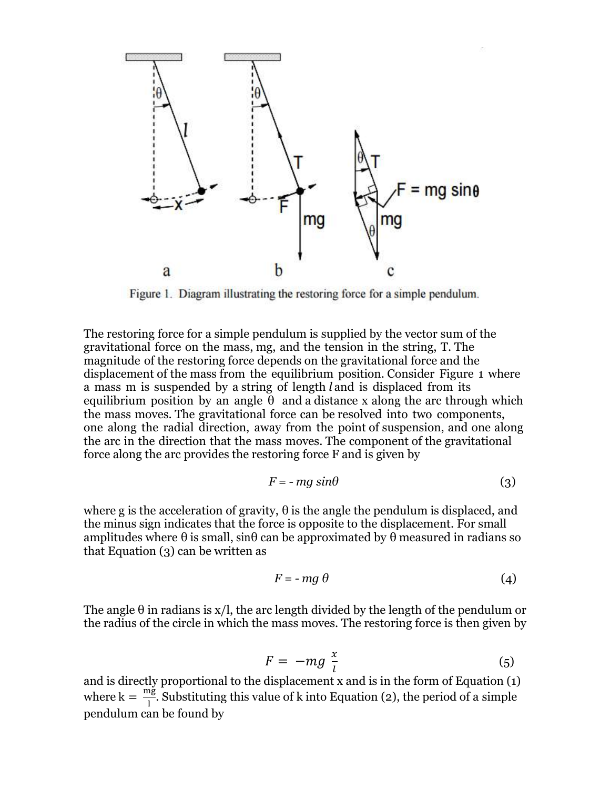

Figure 1. Diagram illustrating the restoring force for a simple pendulum.

The restoring force for a simple pendulum is supplied by the vector sum of the gravitational force on the mass, mg, and the tension in the string, T. The magnitude of the restoring force depends on the gravitational force and the displacement of the mass from the equilibrium position. Consider Figure 1 where a mass m is suspended by a string of length *l* and is displaced from its equilibrium position by an angle  $\theta$  and a distance x along the arc through which the mass moves. The gravitational force can be resolved into two components, one along the radial direction, away from the point of suspension, and one along the arc in the direction that the mass moves. The component of the gravitational force along the arc provides the restoring force F and is given by

$$
F = -mg\sin\theta\tag{3}
$$

where g is the acceleration of gravity,  $\theta$  is the angle the pendulum is displaced, and the minus sign indicates that the force is opposite to the displacement. For small amplitudes where  $\theta$  is small, sin $\theta$  can be approximated by  $\theta$  measured in radians so that Equation (3) can be written as

$$
F = -mg \theta \tag{4}
$$

The angle  $\theta$  in radians is x/l, the arc length divided by the length of the pendulum or the radius of the circle in which the mass moves. The restoring force is then given by

$$
F = -mg\frac{x}{l} \tag{5}
$$

and is directly proportional to the displacement x and is in the form of Equation (1) where  $k = \frac{m}{l}$  $\frac{18}{1}$ . Substituting this value of k into Equation (2), the period of a simple pendulum can be found by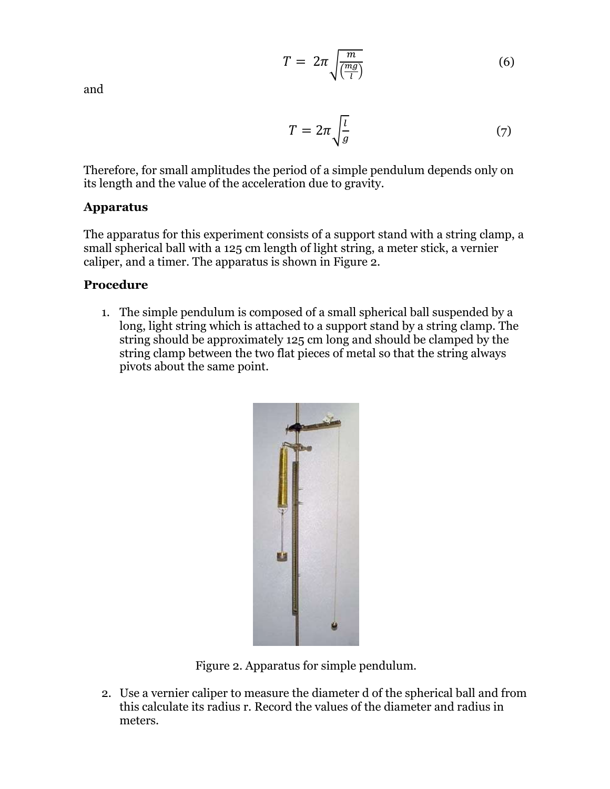$$
T = 2\pi \sqrt{\frac{m}{\left(\frac{mg}{l}\right)}}
$$
 (6)

and

$$
T = 2\pi \sqrt{\frac{l}{g}}\tag{7}
$$

Therefore, for small amplitudes the period of a simple pendulum depends only on its length and the value of the acceleration due to gravity.

## **Apparatus**

The apparatus for this experiment consists of a support stand with a string clamp, a small spherical ball with a 125 cm length of light string, a meter stick, a vernier caliper, and a timer. The apparatus is shown in Figure 2.

## **Procedure**

1. The simple pendulum is composed of a small spherical ball suspended by a long, light string which is attached to a support stand by a string clamp. The string should be approximately 125 cm long and should be clamped by the string clamp between the two flat pieces of metal so that the string always pivots about the same point.



Figure 2. Apparatus for simple pendulum.

2. Use a vernier caliper to measure the diameter d of the spherical ball and from this calculate its radius r. Record the values of the diameter and radius in meters.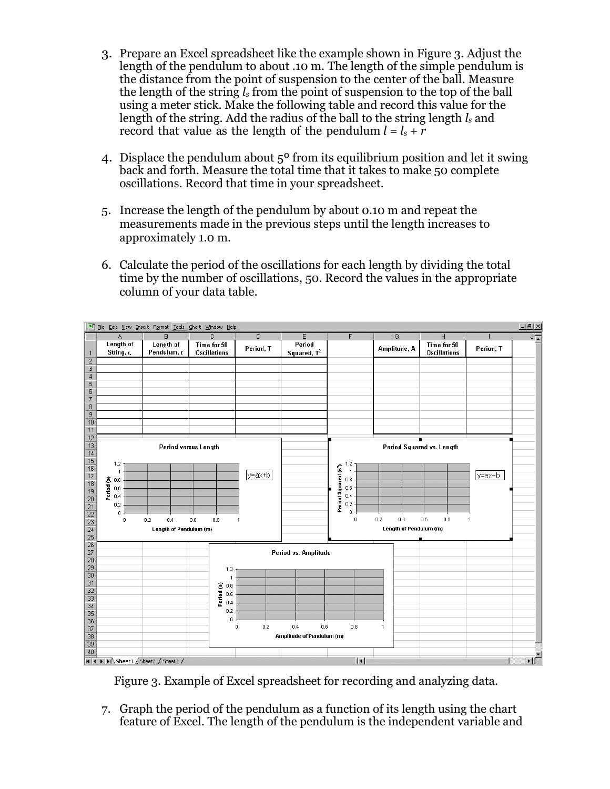- 3. Prepare an Excel spreadsheet like the example shown in Figure 3. Adjust the length of the pendulum to about .10 m. The length of the simple pendulum is the distance from the point of suspension to the center of the ball. Measure the length of the string *l<sup>s</sup>* from the point of suspension to the top of the ball using a meter stick. Make the following table and record this value for the length of the string. Add the radius of the ball to the string length *l<sup>s</sup>* and record that value as the length of the pendulum  $l = l_s + r$
- 4. Displace the pendulum about 5º from its equilibrium position and let it swing back and forth. Measure the total time that it takes to make 50 complete oscillations. Record that time in your spreadsheet.
- 5. Increase the length of the pendulum by about 0.10 m and repeat the measurements made in the previous steps until the length increases to approximately 1.0 m.
- 6. Calculate the period of the oscillations for each length by dividing the total time by the number of oscillations, 50. Record the values in the appropriate column of your data table.



Figure 3. Example of Excel spreadsheet for recording and analyzing data.

7. Graph the period of the pendulum as a function of its length using the chart feature of Excel. The length of the pendulum is the independent variable and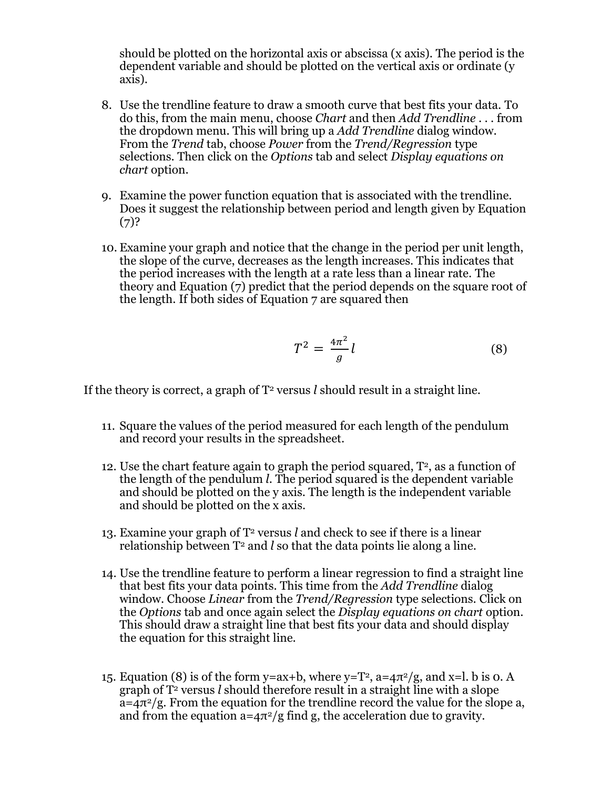should be plotted on the horizontal axis or abscissa (x axis). The period is the dependent variable and should be plotted on the vertical axis or ordinate (y axis).

- 8. Use the trendline feature to draw a smooth curve that best fits your data. To do this, from the main menu, choose *Chart* and then *Add Trendline* . . . from the dropdown menu. This will bring up a *Add Trendline* dialog window. From the *Trend* tab, choose *Power* from the *Trend/Regression* type selections. Then click on the *Options* tab and select *Display equations on chart* option.
- 9. Examine the power function equation that is associated with the trendline. Does it suggest the relationship between period and length given by Equation  $(7)?$
- 10. Examine your graph and notice that the change in the period per unit length, the slope of the curve, decreases as the length increases. This indicates that the period increases with the length at a rate less than a linear rate. The theory and Equation (7) predict that the period depends on the square root of the length. If both sides of Equation 7 are squared then

$$
T^2 = \frac{4\pi^2}{g}l\tag{8}
$$

If the theory is correct, a graph of  $T^2$  versus *l* should result in a straight line.

- 11. Square the values of the period measured for each length of the pendulum and record your results in the spreadsheet.
- 12. Use the chart feature again to graph the period squared,  $T^2$ , as a function of the length of the pendulum *l*. The period squared is the dependent variable and should be plotted on the y axis. The length is the independent variable and should be plotted on the x axis.
- 13. Examine your graph of T<sup>2</sup> versus *l* and check to see if there is a linear relationship between  $T^2$  and *l* so that the data points lie along a line.
- 14. Use the trendline feature to perform a linear regression to find a straight line that best fits your data points. This time from the *Add Trendline* dialog window. Choose *Linear* from the *Trend/Regression* type selections. Click on the *Options* tab and once again select the *Display equations on chart* option. This should draw a straight line that best fits your data and should display the equation for this straight line.
- 15. Equation (8) is of the form y=ax+b, where y=T<sup>2</sup>, a= $4\pi^2/g$ , and x=l. b is 0. A graph of T<sup>2</sup> versus *l* should therefore result in a straight line with a slope  $a=4\pi^2/g$ . From the equation for the trendline record the value for the slope a, and from the equation  $a = 4\pi^2/g$  find g, the acceleration due to gravity.